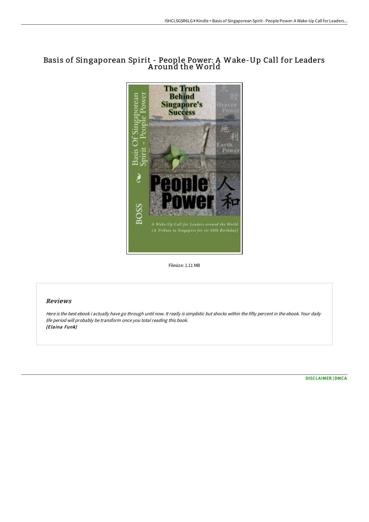# Basis of Singaporean Spirit - People Power: A Wake-Up Call for Leaders A round the World



Filesize: 1.11 MB

## Reviews

Here is the best ebook i actually have go through until now. It really is simplistic but shocks within the fifty percent in the ebook. Your daily life period will probably be transform once you total reading this book. (Elaina Funk)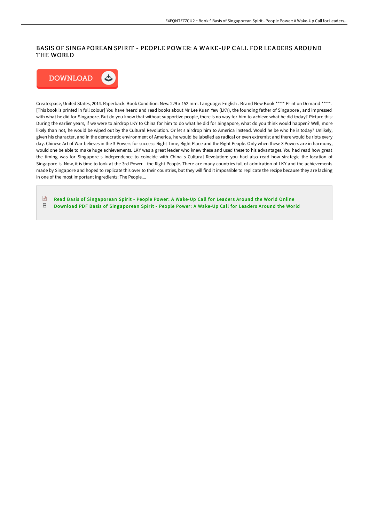## BASIS OF SINGAPOREAN SPIRIT - PEOPLE POWER: A WAKE-UP CALL FOR LEADERS AROUND THE WORLD



Createspace, United States, 2014. Paperback. Book Condition: New. 229 x 152 mm. Language: English . Brand New Book \*\*\*\*\* Print on Demand \*\*\*\*\*. [This book is printed in full colour] You have heard and read books about Mr Lee Kuan Yew (LKY), the founding father of Singapore , and impressed with what he did for Singapore. But do you know that without supportive people, there is no way for him to achieve what he did today? Picture this: During the earlier years, if we were to airdrop LKY to China for him to do what he did for Singapore, what do you think would happen? Well, more likely than not, he would be wiped out by the Cultural Revolution. Or let s airdrop him to America instead. Would he be who he is today? Unlikely, given his character, and in the democratic environment of America, he would be labelled as radical or even extremist and there would be riots every day. Chinese Art of War believes in the 3-Powers for success: Right Time, Right Place and the Right People. Only when these 3 Powers are in harmony, would one be able to make huge achievements. LKY was a great leader who knew these and used these to his advantages. You had read how great the timing was for Singapore s independence to coincide with China s Cultural Revolution; you had also read how strategic the location of Singapore is. Now, it is time to look at the 3rd Power - the Right People. There are many countries full of admiration of LKY and the achievements made by Singapore and hoped to replicate this over to their countries, but they will find it impossible to replicate the recipe because they are lacking in one of the most important ingredients: The People....

 $\sqrt{m}$ Read Basis of [Singaporean](http://www.bookdirs.com/basis-of-singaporean-spirit-people-power-a-wake-.html) Spirit - People Power: A Wake-Up Call for Leaders Around the World Online  $_{\rm PDF}$ Download PDF Basis of [Singaporean](http://www.bookdirs.com/basis-of-singaporean-spirit-people-power-a-wake-.html) Spirit - People Power: A Wake-Up Call for Leaders Around the World